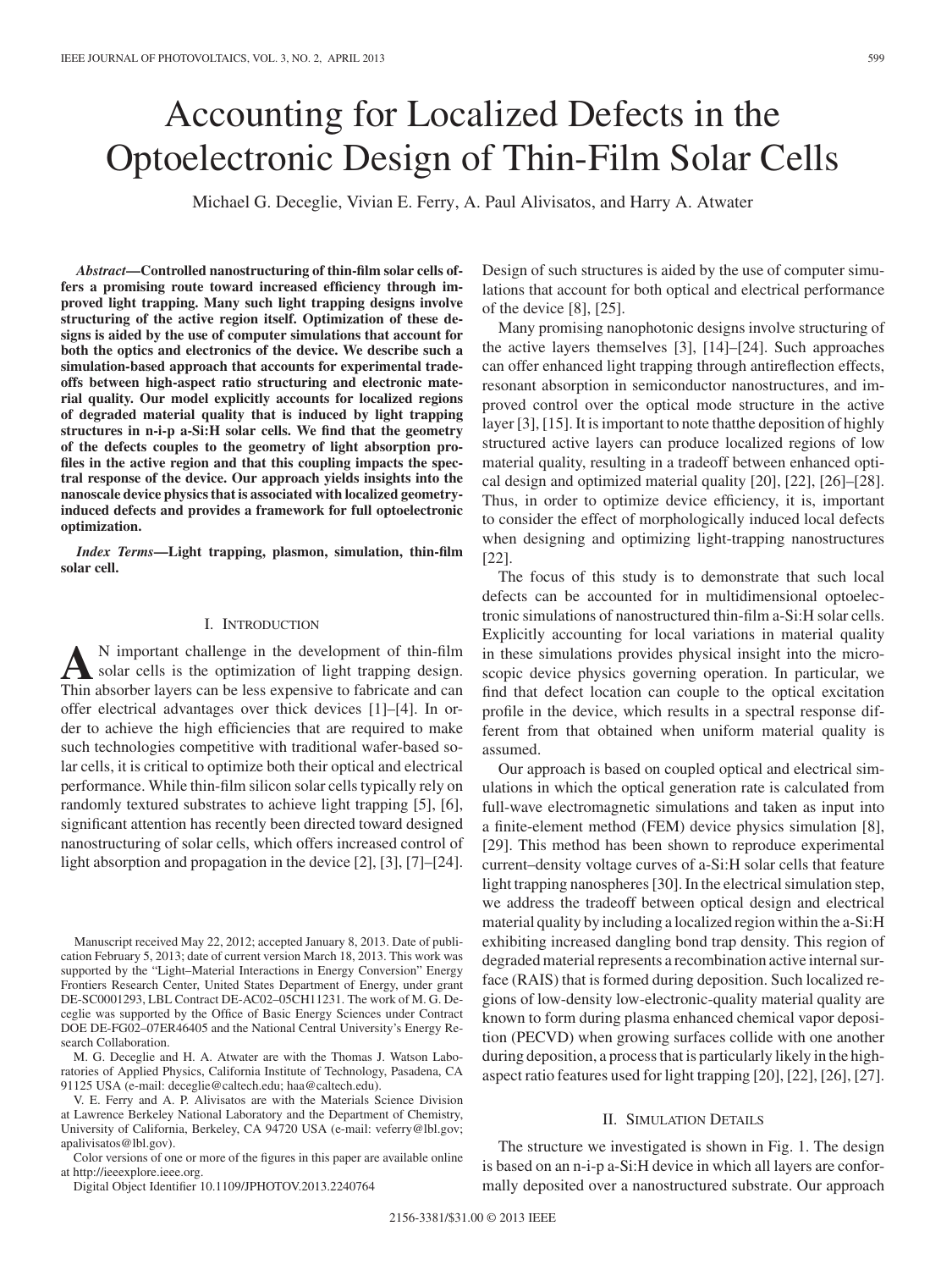# Accounting for Localized Defects in the Optoelectronic Design of Thin-Film Solar Cells

Michael G. Deceglie, Vivian E. Ferry, A. Paul Alivisatos, and Harry A. Atwater

*Abstract***—Controlled nanostructuring of thin-film solar cells offers a promising route toward increased efficiency through improved light trapping. Many such light trapping designs involve structuring of the active region itself. Optimization of these designs is aided by the use of computer simulations that account for both the optics and electronics of the device. We describe such a simulation-based approach that accounts for experimental tradeoffs between high-aspect ratio structuring and electronic material quality. Our model explicitly accounts for localized regions of degraded material quality that is induced by light trapping structures in n-i-p a-Si:H solar cells. We find that the geometry of the defects couples to the geometry of light absorption profiles in the active region and that this coupling impacts the spectral response of the device. Our approach yields insights into the nanoscale device physics that is associated with localized geometryinduced defects and provides a framework for full optoelectronic optimization.**

*Index Terms***—Light trapping, plasmon, simulation, thin-film solar cell.**

## I. INTRODUCTION

**A**N important challenge in the development of thin-film<br>solar cells is the optimization of light trapping design. Thin absorber layers can be less expensive to fabricate and can offer electrical advantages over thick devices [1]–[4]. In order to achieve the high efficiencies that are required to make such technologies competitive with traditional wafer-based solar cells, it is critical to optimize both their optical and electrical performance. While thin-film silicon solar cells typically rely on randomly textured substrates to achieve light trapping [5], [6], significant attention has recently been directed toward designed nanostructuring of solar cells, which offers increased control of light absorption and propagation in the device [2], [3], [7]–[24].

M. G. Deceglie and H. A. Atwater are with the Thomas J. Watson Laboratories of Applied Physics, California Institute of Technology, Pasadena, CA 91125 USA (e-mail: deceglie@caltech.edu; haa@caltech.edu).

V. E. Ferry and A. P. Alivisatos are with the Materials Science Division at Lawrence Berkeley National Laboratory and the Department of Chemistry, University of California, Berkeley, CA 94720 USA (e-mail: veferry@lbl.gov; apalivisatos@lbl.gov).

Color versions of one or more of the figures in this paper are available online at http://ieeexplore.ieee.org.

Digital Object Identifier 10.1109/JPHOTOV.2013.2240764

Design of such structures is aided by the use of computer simulations that account for both optical and electrical performance of the device [8], [25].

Many promising nanophotonic designs involve structuring of the active layers themselves [3], [14]–[24]. Such approaches can offer enhanced light trapping through antireflection effects, resonant absorption in semiconductor nanostructures, and improved control over the optical mode structure in the active layer [3], [15]. It is important to note thatthe deposition of highly structured active layers can produce localized regions of low material quality, resulting in a tradeoff between enhanced optical design and optimized material quality [20], [22], [26]–[28]. Thus, in order to optimize device efficiency, it is, important to consider the effect of morphologically induced local defects when designing and optimizing light-trapping nanostructures [22].

The focus of this study is to demonstrate that such local defects can be accounted for in multidimensional optoelectronic simulations of nanostructured thin-film a-Si:H solar cells. Explicitly accounting for local variations in material quality in these simulations provides physical insight into the microscopic device physics governing operation. In particular, we find that defect location can couple to the optical excitation profile in the device, which results in a spectral response different from that obtained when uniform material quality is assumed.

Our approach is based on coupled optical and electrical simulations in which the optical generation rate is calculated from full-wave electromagnetic simulations and taken as input into a finite-element method (FEM) device physics simulation [8], [29]. This method has been shown to reproduce experimental current–density voltage curves of a-Si:H solar cells that feature light trapping nanospheres [30]. In the electrical simulation step, we address the tradeoff between optical design and electrical material quality by including a localized region within the a-Si:H exhibiting increased dangling bond trap density. This region of degraded material represents a recombination active internal surface (RAIS) that is formed during deposition. Such localized regions of low-density low-electronic-quality material quality are known to form during plasma enhanced chemical vapor deposition (PECVD) when growing surfaces collide with one another during deposition, a process that is particularly likely in the highaspect ratio features used for light trapping [20], [22], [26], [27].

# II. SIMULATION DETAILS

The structure we investigated is shown in Fig. 1. The design is based on an n-i-p a-Si:H device in which all layers are conformally deposited over a nanostructured substrate. Our approach

Manuscript received May 22, 2012; accepted January 8, 2013. Date of publication February 5, 2013; date of current version March 18, 2013. This work was supported by the "Light–Material Interactions in Energy Conversion" Energy Frontiers Research Center, United States Department of Energy, under grant DE-SC0001293, LBL Contract DE-AC02–05CH11231. The work of M. G. Deceglie was supported by the Office of Basic Energy Sciences under Contract DOE DE-FG02–07ER46405 and the National Central University's Energy Research Collaboration.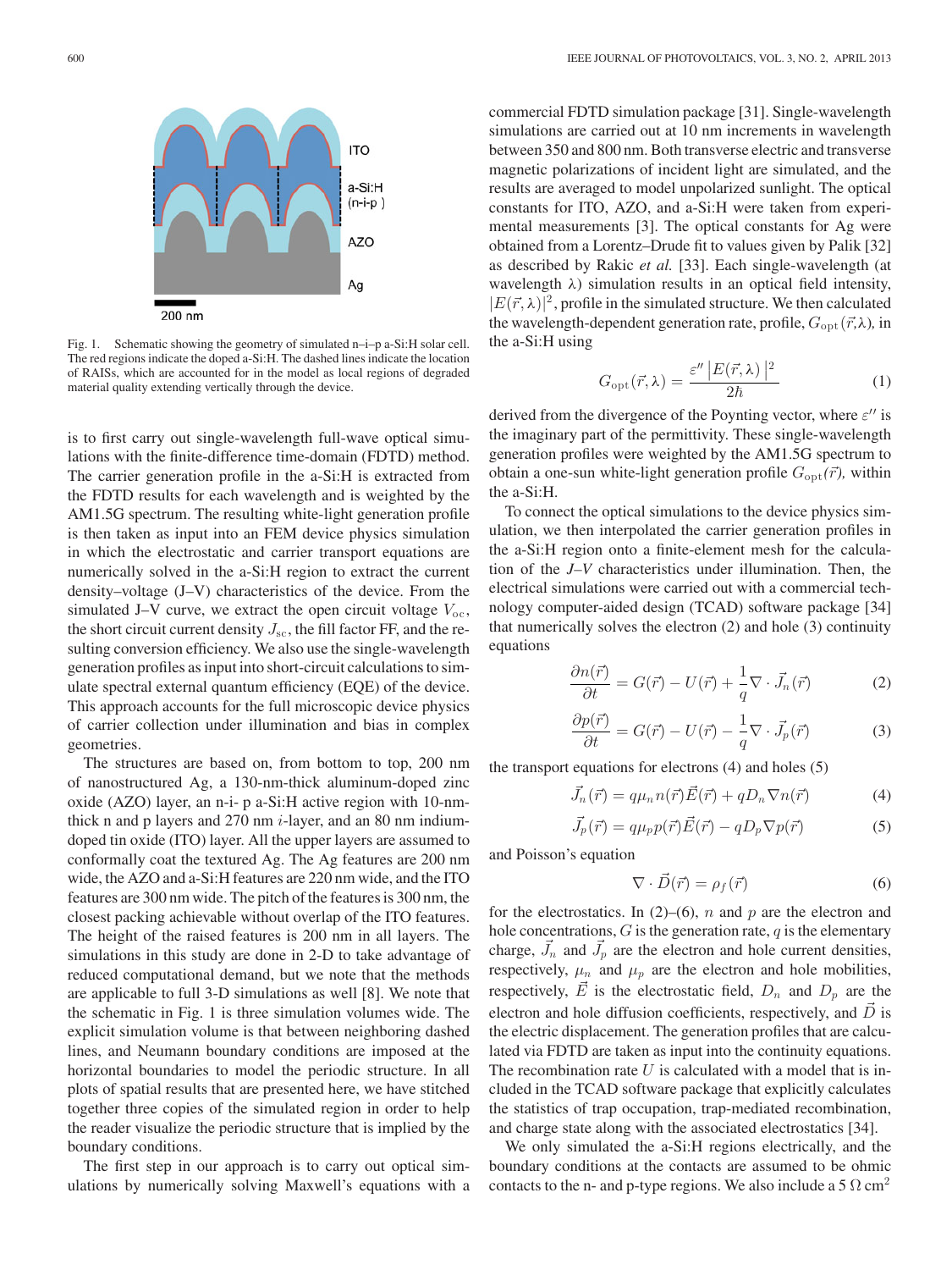

Fig. 1. Schematic showing the geometry of simulated n–i–p a-Si:H solar cell. The red regions indicate the doped a-Si:H. The dashed lines indicate the location of RAISs, which are accounted for in the model as local regions of degraded material quality extending vertically through the device.

is to first carry out single-wavelength full-wave optical simulations with the finite-difference time-domain (FDTD) method. The carrier generation profile in the a-Si:H is extracted from the FDTD results for each wavelength and is weighted by the AM1.5G spectrum. The resulting white-light generation profile is then taken as input into an FEM device physics simulation in which the electrostatic and carrier transport equations are numerically solved in the a-Si:H region to extract the current density–voltage (J–V) characteristics of the device. From the simulated J–V curve, we extract the open circuit voltage  $V_{\text{oc}}$ , the short circuit current density  $J_{\rm sc}$ , the fill factor FF, and the resulting conversion efficiency. We also use the single-wavelength generation profiles as input into short-circuit calculations to simulate spectral external quantum efficiency (EQE) of the device. This approach accounts for the full microscopic device physics of carrier collection under illumination and bias in complex geometries.

The structures are based on, from bottom to top, 200 nm of nanostructured Ag, a 130-nm-thick aluminum-doped zinc oxide (AZO) layer, an n-i- p a-Si:H active region with 10-nmthick n and p layers and  $270$  nm  $i$ -layer, and an 80 nm indiumdoped tin oxide (ITO) layer. All the upper layers are assumed to conformally coat the textured Ag. The Ag features are 200 nm wide, the AZO and a-Si:H features are 220 nm wide, and the ITO features are 300 nm wide. The pitch of the features is 300 nm, the closest packing achievable without overlap of the ITO features. The height of the raised features is 200 nm in all layers. The simulations in this study are done in 2-D to take advantage of reduced computational demand, but we note that the methods are applicable to full 3-D simulations as well [8]. We note that the schematic in Fig. 1 is three simulation volumes wide. The explicit simulation volume is that between neighboring dashed lines, and Neumann boundary conditions are imposed at the horizontal boundaries to model the periodic structure. In all plots of spatial results that are presented here, we have stitched together three copies of the simulated region in order to help the reader visualize the periodic structure that is implied by the boundary conditions.

The first step in our approach is to carry out optical simulations by numerically solving Maxwell's equations with a commercial FDTD simulation package [31]. Single-wavelength simulations are carried out at 10 nm increments in wavelength between 350 and 800 nm. Both transverse electric and transverse magnetic polarizations of incident light are simulated, and the results are averaged to model unpolarized sunlight. The optical constants for ITO, AZO, and a-Si:H were taken from experimental measurements [3]. The optical constants for Ag were obtained from a Lorentz–Drude fit to values given by Palik [32] as described by Rakic *et al.* [33]. Each single-wavelength (at wavelength  $\lambda$ ) simulation results in an optical field intensity,  $|E(\vec{r},\lambda)|^2$ , profile in the simulated structure. We then calculated the wavelength-dependent generation rate, profile,  $G_{\text{opt}}(\vec{r}, \lambda)$ , in the a-Si:H using

$$
G_{\rm opt}(\vec{r}, \lambda) = \frac{\varepsilon'' \left| E(\vec{r}, \lambda) \right|^2}{2\hbar} \tag{1}
$$

derived from the divergence of the Poynting vector, where  $\varepsilon$ " is the imaginary part of the permittivity. These single-wavelength generation profiles were weighted by the AM1.5G spectrum to obtain a one-sun white-light generation profile  $G_{\text{opt}}(\vec{r})$ , within the a-Si:H.

To connect the optical simulations to the device physics simulation, we then interpolated the carrier generation profiles in the a-Si:H region onto a finite-element mesh for the calculation of the *J–V* characteristics under illumination. Then, the electrical simulations were carried out with a commercial technology computer-aided design (TCAD) software package [34] that numerically solves the electron (2) and hole (3) continuity equations

$$
\frac{\partial n(\vec{r})}{\partial t} = G(\vec{r}) - U(\vec{r}) + \frac{1}{q} \nabla \cdot \vec{J}_n(\vec{r}) \tag{2}
$$

$$
\frac{\partial p(\vec{r})}{\partial t} = G(\vec{r}) - U(\vec{r}) - \frac{1}{q} \nabla \cdot \vec{J}_p(\vec{r})
$$
(3)

the transport equations for electrons (4) and holes (5)

$$
\vec{J}_n(\vec{r}) = q\mu_n n(\vec{r}) \vec{E}(\vec{r}) + qD_n \nabla n(\vec{r}) \tag{4}
$$

$$
\vec{J}_p(\vec{r}) = q\mu_p p(\vec{r}) \vec{E}(\vec{r}) - qD_p \nabla p(\vec{r})
$$
\n(5)

and Poisson's equation

$$
\nabla \cdot \vec{D}(\vec{r}) = \rho_f(\vec{r}) \tag{6}
$$

for the electrostatics. In  $(2)$ – $(6)$ , n and p are the electron and hole concentrations,  $G$  is the generation rate,  $q$  is the elementary charge,  $\vec{J}_n$  and  $\vec{J}_p$  are the electron and hole current densities, respectively,  $\mu_n$  and  $\mu_p$  are the electron and hole mobilities, respectively,  $\vec{E}$  is the electrostatic field,  $D_n$  and  $D_p$  are the electron and hole diffusion coefficients, respectively, and  $\vec{D}$  is the electric displacement. The generation profiles that are calculated via FDTD are taken as input into the continuity equations. The recombination rate  $U$  is calculated with a model that is included in the TCAD software package that explicitly calculates the statistics of trap occupation, trap-mediated recombination, and charge state along with the associated electrostatics [34].

We only simulated the a-Si:H regions electrically, and the boundary conditions at the contacts are assumed to be ohmic contacts to the n- and p-type regions. We also include a 5  $\Omega$  cm<sup>2</sup>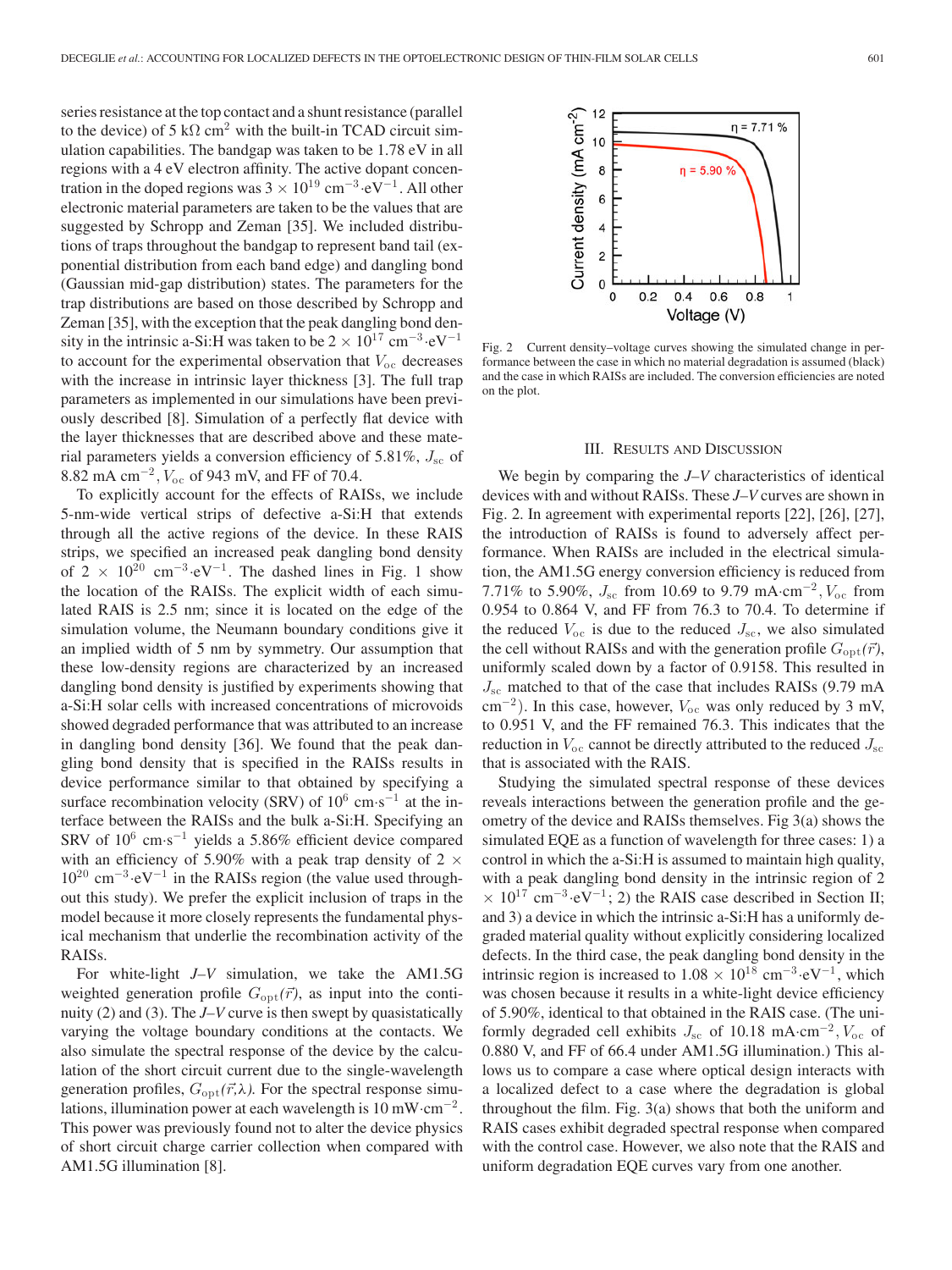series resistance at the top contact and a shunt resistance (parallel to the device) of 5 k $\Omega$  cm<sup>2</sup> with the built-in TCAD circuit simulation capabilities. The bandgap was taken to be 1.78 eV in all regions with a 4 eV electron affinity. The active dopant concentration in the doped regions was  $3 \times 10^{19}$  cm<sup>-3</sup> ·eV<sup>-1</sup>. All other electronic material parameters are taken to be the values that are suggested by Schropp and Zeman [35]. We included distributions of traps throughout the bandgap to represent band tail (exponential distribution from each band edge) and dangling bond (Gaussian mid-gap distribution) states. The parameters for the trap distributions are based on those described by Schropp and Zeman [35], with the exception that the peak dangling bond density in the intrinsic a-Si:H was taken to be  $2 \times 10^{17}$  cm<sup>-3</sup> ·eV<sup>-1</sup> to account for the experimental observation that  $V_{oc}$  decreases with the increase in intrinsic layer thickness [3]. The full trap parameters as implemented in our simulations have been previously described [8]. Simulation of a perfectly flat device with the layer thicknesses that are described above and these material parameters yields a conversion efficiency of 5.81%,  $J_{\rm sc}$  of 8.82 mA cm<sup>-2</sup>,  $V_{\text{oc}}$  of 943 mV, and FF of 70.4.

To explicitly account for the effects of RAISs, we include 5-nm-wide vertical strips of defective a-Si:H that extends through all the active regions of the device. In these RAIS strips, we specified an increased peak dangling bond density of 2 ×  $10^{20}$  cm<sup>-3</sup> ·eV<sup>-1</sup>. The dashed lines in Fig. 1 show the location of the RAISs. The explicit width of each simulated RAIS is 2.5 nm; since it is located on the edge of the simulation volume, the Neumann boundary conditions give it an implied width of 5 nm by symmetry. Our assumption that these low-density regions are characterized by an increased dangling bond density is justified by experiments showing that a-Si:H solar cells with increased concentrations of microvoids showed degraded performance that was attributed to an increase in dangling bond density [36]. We found that the peak dangling bond density that is specified in the RAISs results in device performance similar to that obtained by specifying a surface recombination velocity (SRV) of  $10^6$  cm·s<sup>-1</sup> at the interface between the RAISs and the bulk a-Si:H. Specifying an SRV of 10<sup>6</sup> cm·s<sup>−</sup><sup>1</sup> yields a 5.86% efficient device compared with an efficiency of 5.90% with a peak trap density of 2  $\times$  $10^{20}$  cm<sup>-3</sup> ·eV<sup>-1</sup> in the RAISs region (the value used throughout this study). We prefer the explicit inclusion of traps in the model because it more closely represents the fundamental physical mechanism that underlie the recombination activity of the RAISs.

For white-light *J–V* simulation, we take the AM1.5G weighted generation profile  $G_{\text{opt}}(\vec{r})$ , as input into the continuity (2) and (3). The *J–V* curve is then swept by quasistatically varying the voltage boundary conditions at the contacts. We also simulate the spectral response of the device by the calculation of the short circuit current due to the single-wavelength generation profiles,  $G_{\text{opt}}(\vec{r},\lambda)$ . For the spectral response simulations, illumination power at each wavelength is  $10 \text{ mW} \cdot \text{cm}^{-2}$ . This power was previously found not to alter the device physics of short circuit charge carrier collection when compared with AM1.5G illumination [8].



Fig. 2 Current density–voltage curves showing the simulated change in performance between the case in which no material degradation is assumed (black) and the case in which RAISs are included. The conversion efficiencies are noted on the plot.

### III. RESULTS AND DISCUSSION

We begin by comparing the *J–V* characteristics of identical devices with and without RAISs. These *J–V* curves are shown in Fig. 2. In agreement with experimental reports [22], [26], [27], the introduction of RAISs is found to adversely affect performance. When RAISs are included in the electrical simulation, the AM1.5G energy conversion efficiency is reduced from 7.71% to 5.90%,  $J_{\rm sc}$  from 10.69 to 9.79 mA $\cdot$ cm<sup>-2</sup>,  $V_{\rm oc}$  from 0.954 to 0.864 V, and FF from 76.3 to 70.4. To determine if the reduced  $V_{\text{oc}}$  is due to the reduced  $J_{\text{sc}}$ , we also simulated the cell without RAISs and with the generation profile  $G_{\text{opt}}(\vec{r})$ , uniformly scaled down by a factor of 0.9158. This resulted in  $J_{\rm sc}$  matched to that of the case that includes RAISs (9.79 mA  $\text{cm}^{-2}$ ). In this case, however,  $V_{\text{oc}}$  was only reduced by 3 mV, to 0.951 V, and the FF remained 76.3. This indicates that the reduction in  $V_{\text{oc}}$  cannot be directly attributed to the reduced  $J_{\text{sc}}$ that is associated with the RAIS.

Studying the simulated spectral response of these devices reveals interactions between the generation profile and the geometry of the device and RAISs themselves. Fig 3(a) shows the simulated EQE as a function of wavelength for three cases: 1) a control in which the a-Si:H is assumed to maintain high quality, with a peak dangling bond density in the intrinsic region of 2  $\times$  10<sup>17</sup> cm<sup>-3</sup> ·eV<sup>-1</sup>; 2) the RAIS case described in Section II; and 3) a device in which the intrinsic a-Si:H has a uniformly degraded material quality without explicitly considering localized defects. In the third case, the peak dangling bond density in the intrinsic region is increased to  $1.08 \times 10^{18}$  cm<sup>-3</sup> ·eV<sup>-1</sup>, which was chosen because it results in a white-light device efficiency of 5.90%, identical to that obtained in the RAIS case. (The uniformly degraded cell exhibits  $J_{\rm sc}$  of 10.18 mA·cm<sup>-2</sup>,  $V_{\rm oc}$  of 0.880 V, and FF of 66.4 under AM1.5G illumination.) This allows us to compare a case where optical design interacts with a localized defect to a case where the degradation is global throughout the film. Fig. 3(a) shows that both the uniform and RAIS cases exhibit degraded spectral response when compared with the control case. However, we also note that the RAIS and uniform degradation EQE curves vary from one another.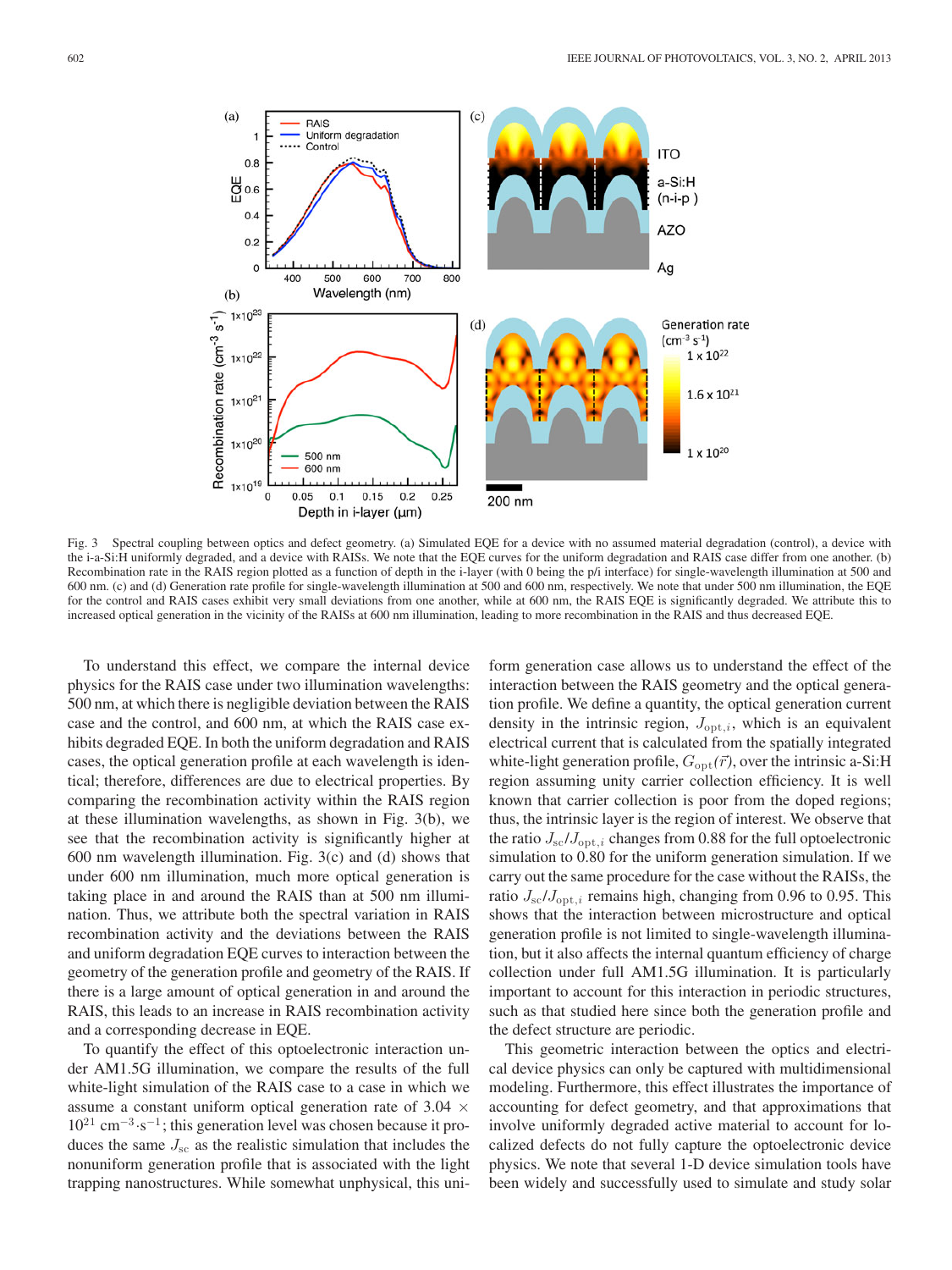

Fig. 3 Spectral coupling between optics and defect geometry. (a) Simulated EQE for a device with no assumed material degradation (control), a device with the i-a-Si:H uniformly degraded, and a device with RAISs. We note that the EQE curves for the uniform degradation and RAIS case differ from one another. (b) Recombination rate in the RAIS region plotted as a function of depth in the i-layer (with 0 being the p/i interface) for single-wavelength illumination at 500 and 600 nm. (c) and (d) Generation rate profile for single-wavelength illumination at 500 and 600 nm, respectively. We note that under 500 nm illumination, the EQE for the control and RAIS cases exhibit very small deviations from one another, while at 600 nm, the RAIS EQE is significantly degraded. We attribute this to increased optical generation in the vicinity of the RAISs at 600 nm illumination, leading to more recombination in the RAIS and thus decreased EQE.

To understand this effect, we compare the internal device physics for the RAIS case under two illumination wavelengths: 500 nm, at which there is negligible deviation between the RAIS case and the control, and 600 nm, at which the RAIS case exhibits degraded EQE. In both the uniform degradation and RAIS cases, the optical generation profile at each wavelength is identical; therefore, differences are due to electrical properties. By comparing the recombination activity within the RAIS region at these illumination wavelengths, as shown in Fig. 3(b), we see that the recombination activity is significantly higher at 600 nm wavelength illumination. Fig. 3(c) and (d) shows that under 600 nm illumination, much more optical generation is taking place in and around the RAIS than at 500 nm illumination. Thus, we attribute both the spectral variation in RAIS recombination activity and the deviations between the RAIS and uniform degradation EQE curves to interaction between the geometry of the generation profile and geometry of the RAIS. If there is a large amount of optical generation in and around the RAIS, this leads to an increase in RAIS recombination activity and a corresponding decrease in EQE.

To quantify the effect of this optoelectronic interaction under AM1.5G illumination, we compare the results of the full white-light simulation of the RAIS case to a case in which we assume a constant uniform optical generation rate of  $3.04 \times$  $10^{21}$  cm<sup>-3</sup> ·s<sup>-1</sup>; this generation level was chosen because it produces the same  $J_{\rm sc}$  as the realistic simulation that includes the nonuniform generation profile that is associated with the light trapping nanostructures. While somewhat unphysical, this uniform generation case allows us to understand the effect of the interaction between the RAIS geometry and the optical generation profile. We define a quantity, the optical generation current density in the intrinsic region,  $J_{\text{opt},i}$ , which is an equivalent electrical current that is calculated from the spatially integrated white-light generation profile,  $G_{opt}(\vec{r})$ , over the intrinsic a-Si:H region assuming unity carrier collection efficiency. It is well known that carrier collection is poor from the doped regions; thus, the intrinsic layer is the region of interest. We observe that the ratio  $J_{\rm sc}/J_{\rm opt,i}$  changes from 0.88 for the full optoelectronic simulation to 0.80 for the uniform generation simulation. If we carry out the same procedure for the case without the RAISs, the ratio  $J_{\rm sc}/J_{\rm opt,i}$  remains high, changing from 0.96 to 0.95. This shows that the interaction between microstructure and optical generation profile is not limited to single-wavelength illumination, but it also affects the internal quantum efficiency of charge collection under full AM1.5G illumination. It is particularly important to account for this interaction in periodic structures, such as that studied here since both the generation profile and the defect structure are periodic.

This geometric interaction between the optics and electrical device physics can only be captured with multidimensional modeling. Furthermore, this effect illustrates the importance of accounting for defect geometry, and that approximations that involve uniformly degraded active material to account for localized defects do not fully capture the optoelectronic device physics. We note that several 1-D device simulation tools have been widely and successfully used to simulate and study solar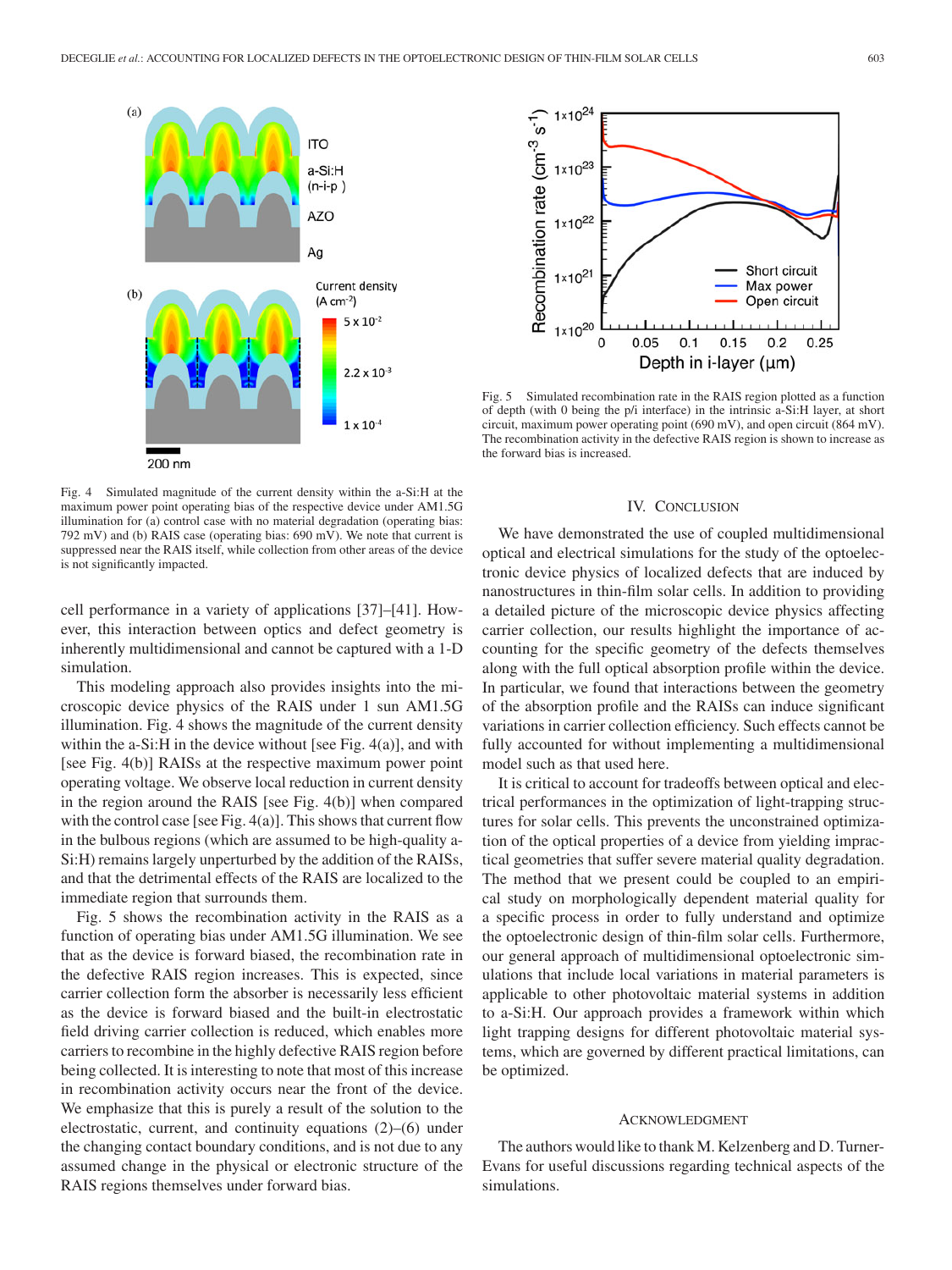

Fig. 4 Simulated magnitude of the current density within the a-Si:H at the maximum power point operating bias of the respective device under AM1.5G illumination for (a) control case with no material degradation (operating bias: 792 mV) and (b) RAIS case (operating bias: 690 mV). We note that current is suppressed near the RAIS itself, while collection from other areas of the device is not significantly impacted.

cell performance in a variety of applications [37]–[41]. However, this interaction between optics and defect geometry is inherently multidimensional and cannot be captured with a 1-D simulation.

This modeling approach also provides insights into the microscopic device physics of the RAIS under 1 sun AM1.5G illumination. Fig. 4 shows the magnitude of the current density within the a-Si:H in the device without [see Fig. 4(a)], and with [see Fig. 4(b)] RAISs at the respective maximum power point operating voltage. We observe local reduction in current density in the region around the RAIS [see Fig. 4(b)] when compared with the control case [see Fig. 4(a)]. This shows that current flow in the bulbous regions (which are assumed to be high-quality a-Si:H) remains largely unperturbed by the addition of the RAISs, and that the detrimental effects of the RAIS are localized to the immediate region that surrounds them.

Fig. 5 shows the recombination activity in the RAIS as a function of operating bias under AM1.5G illumination. We see that as the device is forward biased, the recombination rate in the defective RAIS region increases. This is expected, since carrier collection form the absorber is necessarily less efficient as the device is forward biased and the built-in electrostatic field driving carrier collection is reduced, which enables more carriers to recombine in the highly defective RAIS region before being collected. It is interesting to note that most of this increase in recombination activity occurs near the front of the device. We emphasize that this is purely a result of the solution to the electrostatic, current, and continuity equations (2)–(6) under the changing contact boundary conditions, and is not due to any assumed change in the physical or electronic structure of the RAIS regions themselves under forward bias.



Fig. 5 Simulated recombination rate in the RAIS region plotted as a function of depth (with 0 being the p/i interface) in the intrinsic a-Si:H layer, at short circuit, maximum power operating point (690 mV), and open circuit (864 mV). The recombination activity in the defective RAIS region is shown to increase as the forward bias is increased.

#### IV. CONCLUSION

We have demonstrated the use of coupled multidimensional optical and electrical simulations for the study of the optoelectronic device physics of localized defects that are induced by nanostructures in thin-film solar cells. In addition to providing a detailed picture of the microscopic device physics affecting carrier collection, our results highlight the importance of accounting for the specific geometry of the defects themselves along with the full optical absorption profile within the device. In particular, we found that interactions between the geometry of the absorption profile and the RAISs can induce significant variations in carrier collection efficiency. Such effects cannot be fully accounted for without implementing a multidimensional model such as that used here.

It is critical to account for tradeoffs between optical and electrical performances in the optimization of light-trapping structures for solar cells. This prevents the unconstrained optimization of the optical properties of a device from yielding impractical geometries that suffer severe material quality degradation. The method that we present could be coupled to an empirical study on morphologically dependent material quality for a specific process in order to fully understand and optimize the optoelectronic design of thin-film solar cells. Furthermore, our general approach of multidimensional optoelectronic simulations that include local variations in material parameters is applicable to other photovoltaic material systems in addition to a-Si:H. Our approach provides a framework within which light trapping designs for different photovoltaic material systems, which are governed by different practical limitations, can be optimized.

### ACKNOWLEDGMENT

The authors would like to thank M. Kelzenberg and D. Turner-Evans for useful discussions regarding technical aspects of the simulations.